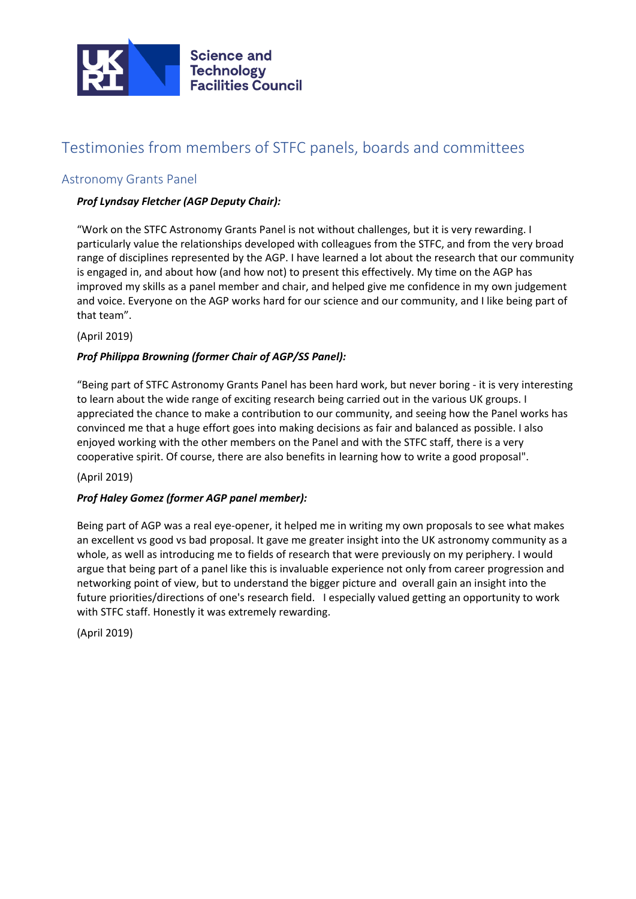

# Testimonies from members of STFC panels, boards and committees

## Astronomy Grants Panel

## *Prof Lyndsay Fletcher (AGP Deputy Chair):*

"Work on the STFC Astronomy Grants Panel is not without challenges, but it is very rewarding. I particularly value the relationships developed with colleagues from the STFC, and from the very broad range of disciplines represented by the AGP. I have learned a lot about the research that our community is engaged in, and about how (and how not) to present this effectively. My time on the AGP has improved my skills as a panel member and chair, and helped give me confidence in my own judgement and voice. Everyone on the AGP works hard for our science and our community, and I like being part of that team".

#### (April 2019)

#### *Prof Philippa Browning (former Chair of AGP/SS Panel):*

"Being part of STFC Astronomy Grants Panel has been hard work, but never boring - it is very interesting to learn about the wide range of exciting research being carried out in the various UK groups. I appreciated the chance to make a contribution to our community, and seeing how the Panel works has convinced me that a huge effort goes into making decisions as fair and balanced as possible. I also enjoyed working with the other members on the Panel and with the STFC staff, there is a very cooperative spirit. Of course, there are also benefits in learning how to write a good proposal".

#### (April 2019)

## *Prof Haley Gomez (former AGP panel member):*

Being part of AGP was a real eye-opener, it helped me in writing my own proposals to see what makes an excellent vs good vs bad proposal. It gave me greater insight into the UK astronomy community as a whole, as well as introducing me to fields of research that were previously on my periphery. I would argue that being part of a panel like this is invaluable experience not only from career progression and networking point of view, but to understand the bigger picture and overall gain an insight into the future priorities/directions of one's research field. I especially valued getting an opportunity to work with STFC staff. Honestly it was extremely rewarding.

(April 2019)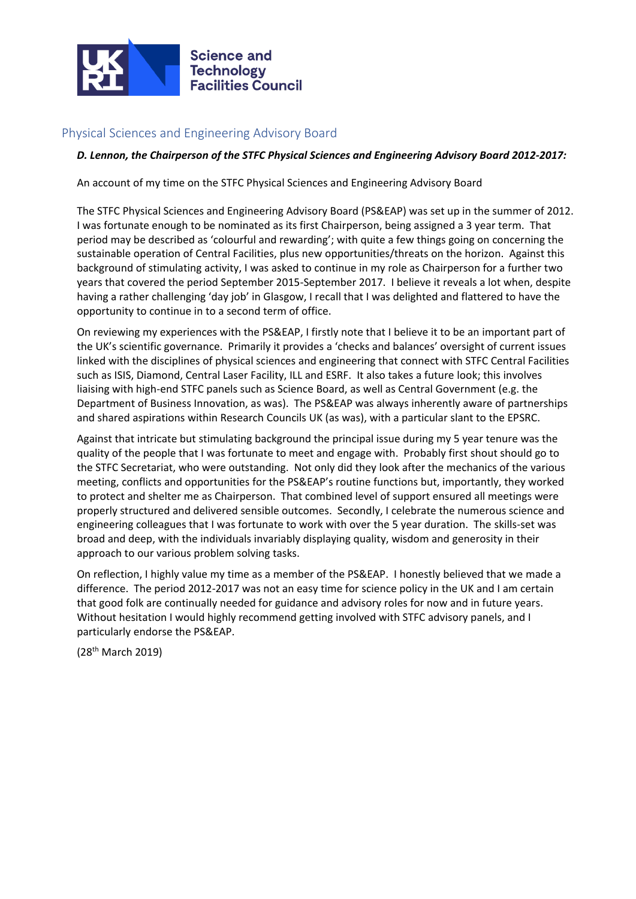

# Physical Sciences and Engineering Advisory Board

#### *D. Lennon, the Chairperson of the STFC Physical Sciences and Engineering Advisory Board 2012-2017:*

An account of my time on the STFC Physical Sciences and Engineering Advisory Board

The STFC Physical Sciences and Engineering Advisory Board (PS&EAP) was set up in the summer of 2012. I was fortunate enough to be nominated as its first Chairperson, being assigned a 3 year term. That period may be described as 'colourful and rewarding'; with quite a few things going on concerning the sustainable operation of Central Facilities, plus new opportunities/threats on the horizon. Against this background of stimulating activity, I was asked to continue in my role as Chairperson for a further two years that covered the period September 2015-September 2017. I believe it reveals a lot when, despite having a rather challenging 'day job' in Glasgow, I recall that I was delighted and flattered to have the opportunity to continue in to a second term of office.

On reviewing my experiences with the PS&EAP, I firstly note that I believe it to be an important part of the UK's scientific governance. Primarily it provides a 'checks and balances' oversight of current issues linked with the disciplines of physical sciences and engineering that connect with STFC Central Facilities such as ISIS, Diamond, Central Laser Facility, ILL and ESRF. It also takes a future look; this involves liaising with high-end STFC panels such as Science Board, as well as Central Government (e.g. the Department of Business Innovation, as was). The PS&EAP was always inherently aware of partnerships and shared aspirations within Research Councils UK (as was), with a particular slant to the EPSRC.

Against that intricate but stimulating background the principal issue during my 5 year tenure was the quality of the people that I was fortunate to meet and engage with. Probably first shout should go to the STFC Secretariat, who were outstanding. Not only did they look after the mechanics of the various meeting, conflicts and opportunities for the PS&EAP's routine functions but, importantly, they worked to protect and shelter me as Chairperson. That combined level of support ensured all meetings were properly structured and delivered sensible outcomes. Secondly, I celebrate the numerous science and engineering colleagues that I was fortunate to work with over the 5 year duration. The skills-set was broad and deep, with the individuals invariably displaying quality, wisdom and generosity in their approach to our various problem solving tasks.

On reflection, I highly value my time as a member of the PS&EAP. I honestly believed that we made a difference. The period 2012-2017 was not an easy time for science policy in the UK and I am certain that good folk are continually needed for guidance and advisory roles for now and in future years. Without hesitation I would highly recommend getting involved with STFC advisory panels, and I particularly endorse the PS&EAP.

(28th March 2019)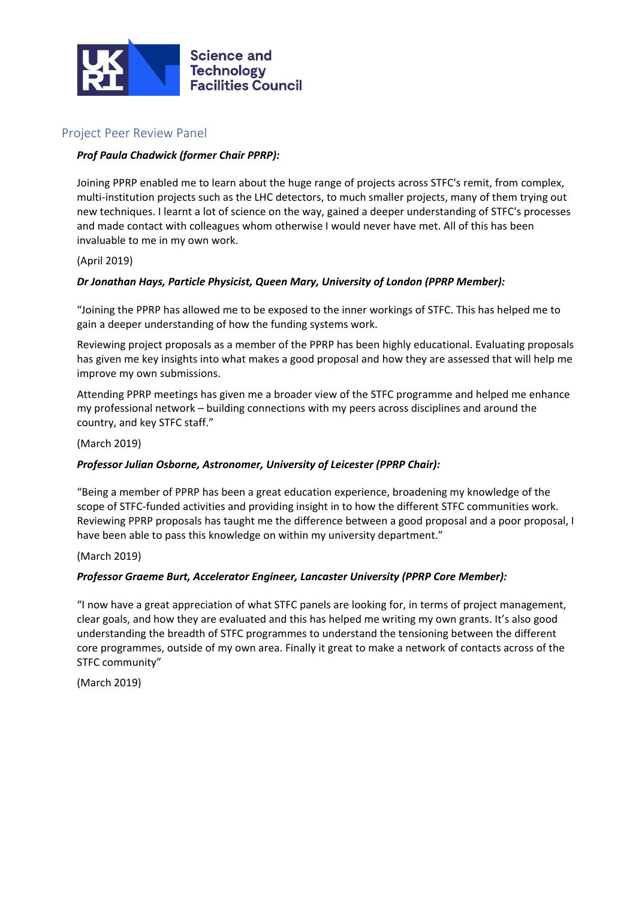

## Project Peer Review Panel

## *Prof Paula Chadwick (former Chair PPRP):*

Joining PPRP enabled me to learn about the huge range of projects across STFC's remit, from complex, multi-institution projects such as the LHC detectors, to much smaller projects, many of them trying out new techniques. I learnt a lot of science on the way, gained a deeper understanding of STFC's processes and made contact with colleagues whom otherwise I would never have met. All of this has been invaluable to me in my own work.

#### (April 2019)

## *Dr Jonathan Hays, Particle Physicist, Queen Mary, University of London (PPRP Member):*

"Joining the PPRP has allowed me to be exposed to the inner workings of STFC. This has helped me to gain a deeper understanding of how the funding systems work.

Reviewing project proposals as a member of the PPRP has been highly educational. Evaluating proposals has given me key insights into what makes a good proposal and how they are assessed that will help me improve my own submissions.

Attending PPRP meetings has given me a broader view of the STFC programme and helped me enhance my professional network – building connections with my peers across disciplines and around the country, and key STFC staff."

(March 2019)

## *Professor Julian Osborne, Astronomer, University of Leicester (PPRP Chair):*

"Being a member of PPRP has been a great education experience, broadening my knowledge of the scope of STFC-funded activities and providing insight in to how the different STFC communities work. Reviewing PPRP proposals has taught me the difference between a good proposal and a poor proposal, I have been able to pass this knowledge on within my university department."

(March 2019)

## *Professor Graeme Burt, Accelerator Engineer, Lancaster University (PPRP Core Member):*

"I now have a great appreciation of what STFC panels are looking for, in terms of project management, clear goals, and how they are evaluated and this has helped me writing my own grants. It's also good understanding the breadth of STFC programmes to understand the tensioning between the different core programmes, outside of my own area. Finally it great to make a network of contacts across of the STFC community"

(March 2019)